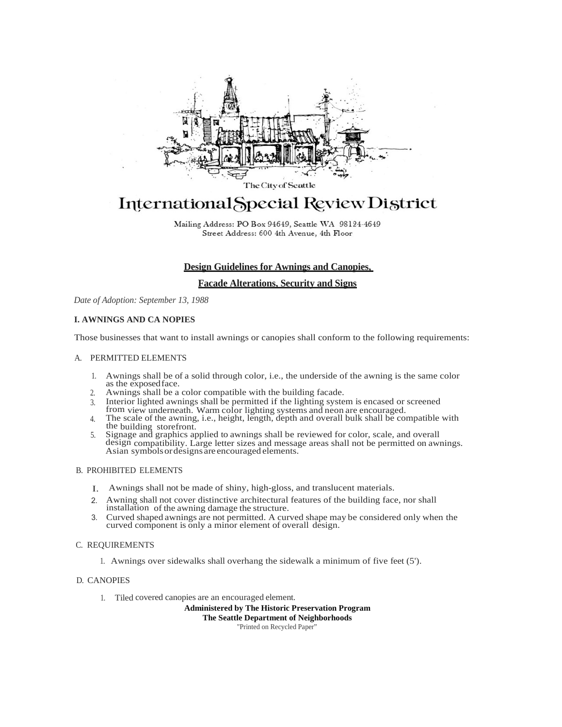

The City of Seattle

# International Special Review District

Mailing Address: PO Box 94649, Seattle WA 98124-4649 Street Address: 600 4th Avenue, 4th Floor

# **Design Guidelines for Awnings and Canopies,**

## **Facade Alterations, Security and Signs**

*Date of Adoption: September 13, 1988*

#### **I. AWNINGS AND CA NOPIES**

Those businesses that want to install awnings or canopies shall conform to the following requirements:

#### A. PERMITTED ELEMENTS

- 1. Awnings shall be of a solid through color, i.e., the underside of the awning is the same color as the exposed face.<br>2. Awnings shall be a color compatible with the building facade.
- Awnings shall be a color compatible with the building facade.
- 3. Interior lighted awnings shall be permitted if the lighting system is encased or screened
- from view underneath. Warm color lighting systems and neon are encouraged.
- 4. The scale of the awning, i.e., height, length, depth and overall bulk shall be compatible with the building storefront.
- 5. Signage and graphics applied to awnings shall be reviewed for color, scale, and overall design compatibility. Large letter sizes and message areas shall not be permitted on awnings. Asian symbolsordesigns are encouraged elements.

## B. PROHIBITED ELEMENTS

- I. Awnings shall not be made of shiny, high-gloss, and translucent materials.
- 2. Awning shall not cover distinctive architectural features of the building face, nor shall installation of the awning damage the structure.
- 3. Curved shaped awnings are not permitted. A curved shape may be considered only when the curved component is only a minor element of overall design.

#### C. REQUIREMENTS

1. Awnings over sidewalks shall overhang the sidewalk a minimum of five feet (5').

#### D. CANOPIES

1. Tiled covered canopies are an encouraged element.

**Administered by The Historic Preservation Program** 

**The Seattle Department of Neighborhoods**

"Printed on Recycled Paper"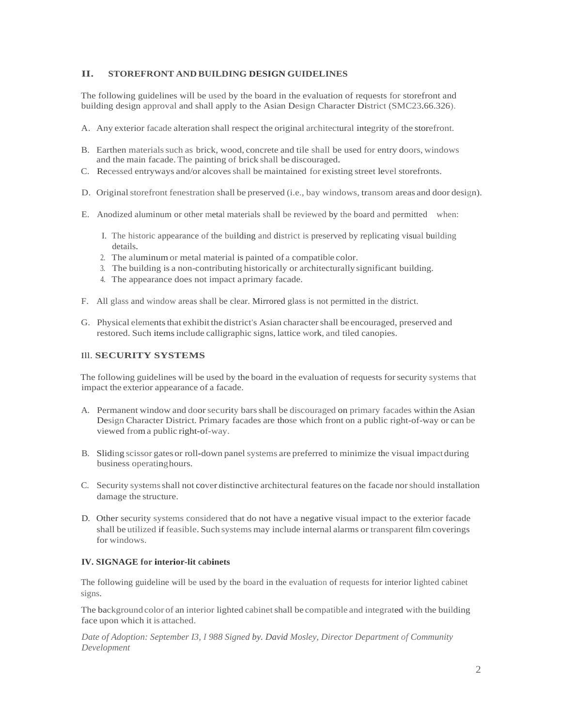## **II. STOREFRONT AND BUILDING DESIGN GUIDELINES**

The following guidelines will be used by the board in the evaluation of requests for storefront and building design approval and shall apply to the Asian Design Character District (SMC23.66.326).

- A. Any exterior facade alteration shall respect the original architectural integrity of the storefront.
- B. Earthen materialssuch as brick, wood, concrete and tile shall be used for entry doors, windows and the main facade.The painting of brick shall be discouraged.
- C. Recessed entryways and/or alcovesshall be maintained for existing street level storefronts.
- D. Original storefront fenestration shall be preserved (i.e., bay windows, transom areas and door design).
- E. Anodized aluminum or other metal materials shall be reviewed by the board and permitted when:
	- I. The historic appearance of the building and district is preserved by replicating visual building details.
	- 2. The aluminum or metal material is painted of a compatible color.
	- 3. The building is a non-contributing historically or architecturally significant building.
	- 4. The appearance does not impact aprimary facade.
- F. All glass and window areas shall be clear. Mirrored glass is not permitted in the district.
- G. Physical elements that exhibit the district's Asian character shall be encouraged, preserved and restored. Such itemsinclude calligraphic signs, lattice work, and tiled canopies.

## Ill. **SECURITY SYSTEMS**

The following guidelines will be used by the board in the evaluation of requests forsecurity systems that impact the exterior appearance of a facade.

- A. Permanent window and doorsecurity barsshall be discouraged on primary facades within the Asian Design Character District. Primary facades are those which front on a public right-of-way or can be viewed froma public right-of-way.
- B. Sliding scissor gatesor roll-down panel systems are preferred to minimize the visual impactduring business operatinghours.
- C. Security systemsshall not cover distinctive architectural features on the facade norshould installation damage the structure.
- D. Other security systems considered that do not have a negative visual impact to the exterior facade shall be utilized if feasible. Such systems may include internal alarms or transparent film coverings for windows.

#### **IV. SIGNAGE for interior-lit cabinets**

The following guideline will be used by the board in the evaluation of requests for interior lighted cabinet signs.

The background color of an interior lighted cabinet shall be compatible and integrated with the building face upon which it is attached.

*Date of Adoption: September I3, I 988 Signed by. David Mosley, Director Department of Community Development*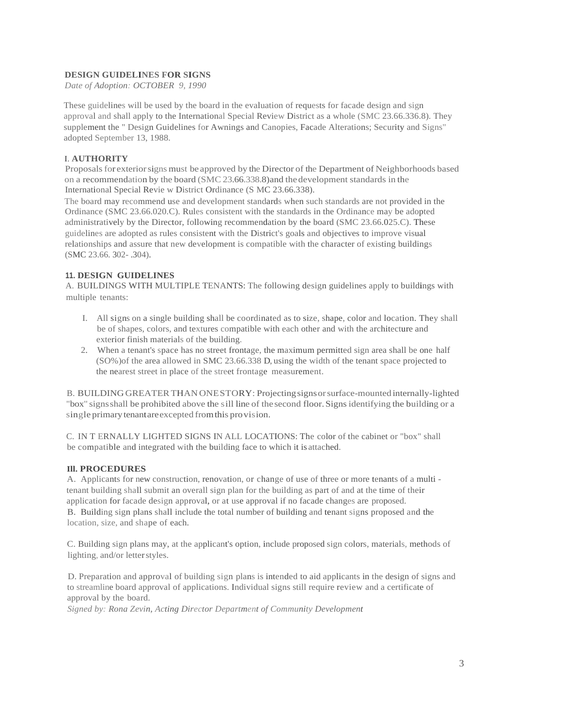## **DESIGN GUIDELINES FOR SIGNS**

*Date of Adoption: OCTOBER 9, 1990*

These guidelines will be used by the board in the evaluation of requests for facade design and sign approval and shall apply to the International Special Review District as a whole (SMC 23.66.336.8). They supplement the " Design Guidelines for Awnings and Canopies, Facade Alterations; Security and Signs" adopted September 13, 1988.

## I. **AUTHORITY**

Proposals for exterior signs must be approved by the Director of the Department of Neighborhoods based on a recommendation by the board (SMC 23.66.338.8)and thedevelopment standards in the International Special Revie w District Ordinance (S MC 23.66.338).

The board may recommend use and development standards when such standards are not provided in the Ordinance (SMC 23.66.020.C). Rules consistent with the standards in the Ordinance may be adopted administratively by the Director, following recommendation by the board (SMC 23.66.025.C). These guidelines are adopted as rules consistent with the District's goals and objectives to improve visual relationships and assure that new development is compatible with the character of existing buildings (SMC 23.66. 302- .304).

# **11. DESIGN GUIDELINES**

A. BUILDINGS WITH MULTIPLE TENANTS: The following design guidelines apply to buildings with multiple tenants:

- I. All signs on a single building shall be coordinated as to size, shape, color and location. They shall be of shapes, colors, and textures compatible with each other and with the architecture and exterior finish materials of the building.
- 2. When a tenant's space has no street frontage, the maximum permitted sign area shall be one half (SO%)of the area allowed in SMC 23.66.338 D, using the width of the tenant space projected to the nearest street in place of the street frontage measurement.

B. BUILDING GREATERTHAN ONESTORY: Projectingsignsorsurface-mounted internally-lighted "box" signsshall be prohibited above the sill line of the second floor.Signsidentifying the building or a single primarytenantareexcepted fromthis provision.

C. IN T ERNALLY LIGHTED SIGNS IN ALL LOCATIONS: The color of the cabinet or "box" shall be compatible and integrated with the building face to which it is attached.

#### **Ill. PROCEDURES**

A. Applicants for new construction, renovation, or change of use of three or more tenants of a multi tenant building shall submit an overall sign plan for the building as part of and at the time of their application for facade design approval, or at use approval if no facade changes are proposed. B. Building sign plans shall include the total number of building and tenant signs proposed and the location, size, and shape of each.

C. Building sign plans may, at the applicant's option, include proposed sign colors, materials, methods of lighting, and/or letterstyles.

D. Preparation and approval of building sign plans is intended to aid applicants in the design of signs and to streamline board approval of applications. Individual signs still require review and a certificate of approval by the board.

*Signed by: Rona Zevin, Acting Director Department of Community Development*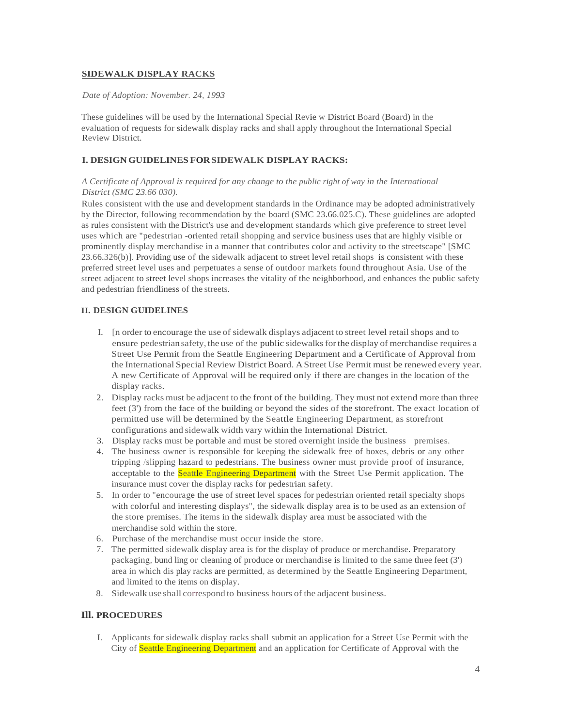### **SIDEWALK DISPLAY RACKS**

## *Date of Adoption: November. 24, 1993*

These guidelines will be used by the International Special Revie w District Board (Board) in the evaluation of requests for sidewalk display racks and shall apply throughout the International Special Review District.

# **I. DESIGNGUIDELINES FORSIDEWALK DISPLAY RACKS:**

# *A Certificate of Approval is required for any change to the public right of way in the International District (SMC 23.66 030).*

Rules consistent with the use and development standards in the Ordinance may be adopted administratively by the Director, following recommendation by the board (SMC 23.66.025.C). These guidelines are adopted as rules consistent with the District's use and development standards which give preference to street level uses which are "pedestrian -oriented retail shopping and service business uses that are highly visible or prominently display merchandise in a manner that contributes color and activity to the streetscape" [SMC 23.66.326(b)]. Providing use of the sidewalk adjacent to street level retail shops is consistent with these preferred street level uses and perpetuates a sense of outdoor markets found throughout Asia. Use of the street adjacent to street level shops increases the vitality of the neighborhood, and enhances the public safety and pedestrian friendliness of the streets.

# **II. DESIGN GUIDELINES**

- I. [n order to encourage the use of sidewalk displays adjacent to street level retail shops and to ensure pedestrian safety, the use of the public sidewalksforthe display of merchandise requires a Street Use Permit from the Seattle Engineering Department and a Certificate of Approval from the International Special Review District Board. A Street Use Permit must be renewed every year. A new Certificate of Approval will be required only if there are changes in the location of the display racks.
- 2. Display racks must be adjacent to the front of the building. They must not extend more than three feet (3') from the face of the building or beyond the sides of the storefront. The exact location of permitted use will be determined by the Seattle Engineering Department, as storefront configurations and sidewalk width vary within the International District.
- 3. Display racks must be portable and must be stored overnight inside the business premises.
- 4. The business owner is responsible for keeping the sidewalk free of boxes, debris or any other tripping /slipping hazard to pedestrians. The business owner must provide proof of insurance, acceptable to the Seattle Engineering Department with the Street Use Permit application. The insurance must cover the display racks for pedestrian safety.
- 5. In order to "encourage the use of street level spaces for pedestrian oriented retail specialty shops with colorful and interesting displays", the sidewalk display area is to be used as an extension of the store premises. The items in the sidewalk display area must be associated with the merchandise sold within the store.
- 6. Purchase of the merchandise must occur inside the store.
- 7. The permitted sidewalk display area is for the display of produce or merchandise. Preparatory packaging, bund ling or cleaning of produce or merchandise is limited to the same three feet (3') area in which dis play racks are permitted, as determined by the Seattle Engineering Department, and limited to the items on display.
- 8. Sidewalk use shall correspond to business hours of the adjacent business.

# **Ill. PROCEDURES**

I. Applicants for sidewalk display racks shall submit an application for a Street Use Permit with the City of Seattle Engineering Department and an application for Certificate of Approval with the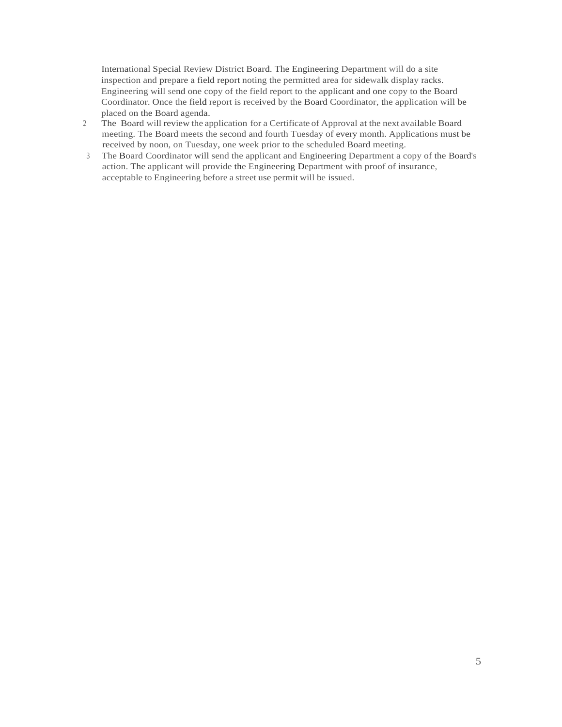International Special Review District Board. The Engineering Department will do a site inspection and prepare a field report noting the permitted area for sidewalk display racks. Engineering will send one copy of the field report to the applicant and one copy to the Board Coordinator. Once the field report is received by the Board Coordinator, the application will be placed on the Board agenda.

- 2. The Board will review the application for a Certificate of Approval at the next available Board meeting. The Board meets the second and fourth Tuesday of every month. Applications must be received by noon, on Tuesday, one week prior to the scheduled Board meeting.
- 3. The Board Coordinator will send the applicant and Engineering Department a copy of the Board's action. The applicant will provide the Engineering Department with proof of insurance, acceptable to Engineering before a street use permit will be issued.